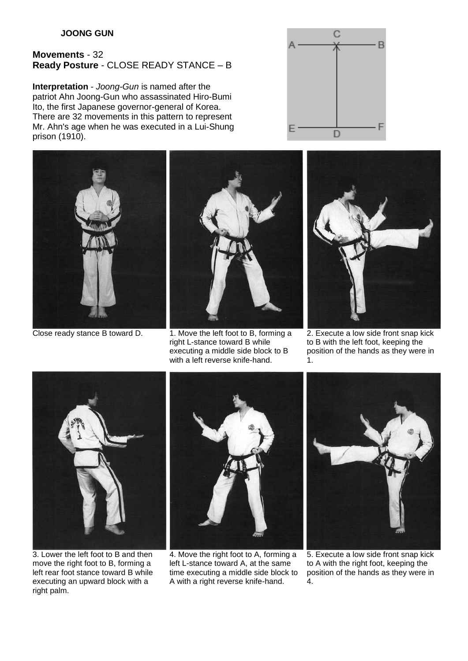## **Movements** - 32 **Ready Posture** - CLOSE READY STANCE – B

**Interpretation** - *Joong-Gun* is named after the patriot Ahn Joong-Gun who assassinated Hiro-Bumi Ito, the first Japanese governor-general of Korea. There are 32 movements in this pattern to represent Mr. Ahn's age when he was executed in a Lui-Shung prison (1910).





Close ready stance B toward D.  $\overline{1}$ . Move the left foot to B, forming a right L-stance toward B while executing a middle side block to B with a left reverse knife-hand.





2. Execute a low side front snap kick to B with the left foot, keeping the position of the hands as they were in  $\mathbf{1}$ 



3. Lower the left foot to B and then move the right foot to B, forming a left rear foot stance toward B while executing an upward block with a right palm.



4. Move the right foot to A, forming a left L-stance toward A, at the same time executing a middle side block to A with a right reverse knife-hand.



5. Execute a low side front snap kick to A with the right foot, keeping the position of the hands as they were in 4.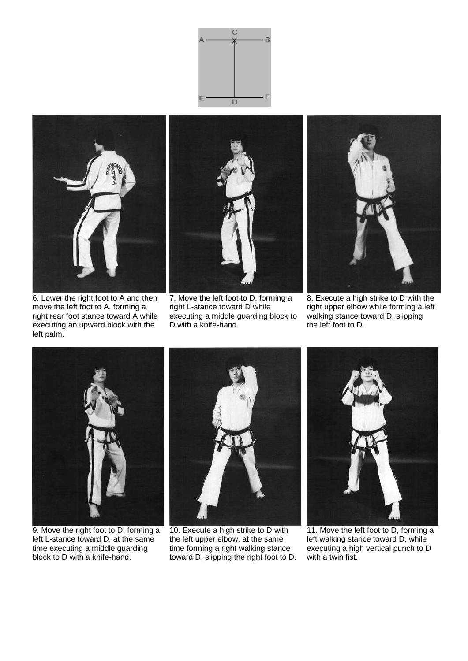



6. Lower the right foot to A and then move the left foot to A, forming a right rear foot stance toward A while executing an upward block with the left palm.



7. Move the left foot to D, forming a right L-stance toward D while executing a middle guarding block to D with a knife-hand.



8. Execute a high strike to D with the right upper elbow while forming a left walking stance toward D, slipping the left foot to D.



9. Move the right foot to D, forming a left L-stance toward D, at the same time executing a middle guarding block to D with a knife-hand.



10. Execute a high strike to D with the left upper elbow, at the same time forming a right walking stance toward D, slipping the right foot to D.



11. Move the left foot to D, forming a left walking stance toward D, while executing a high vertical punch to D with a twin fist.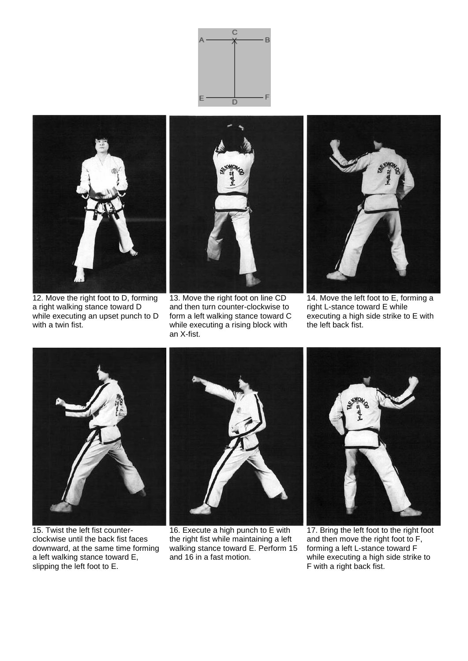



12. Move the right foot to D, forming a right walking stance toward D while executing an upset punch to D with a twin fist.



13. Move the right foot on line CD and then turn counter-clockwise to form a left walking stance toward C while executing a rising block with an X-fist.



14. Move the left foot to E, forming a right L-stance toward E while executing a high side strike to E with the left back fist.



15. Twist the left fist counterclockwise until the back fist faces downward, at the same time forming a left walking stance toward E, slipping the left foot to E.



16. Execute a high punch to E with the right fist while maintaining a left walking stance toward E. Perform 15 and 16 in a fast motion.



17. Bring the left foot to the right foot and then move the right foot to F, forming a left L-stance toward F while executing a high side strike to F with a right back fist.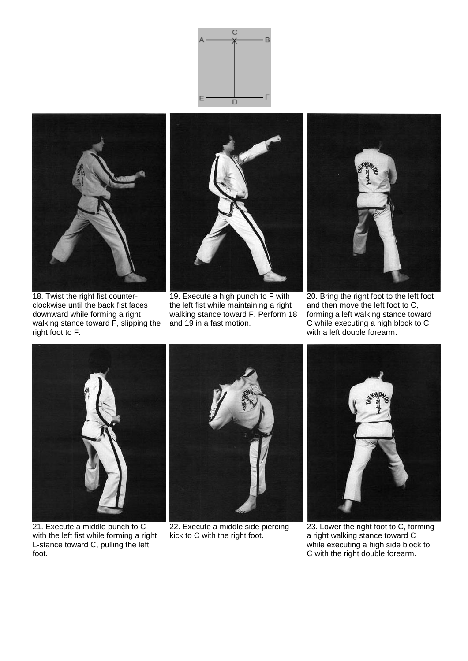



18. Twist the right fist counterclockwise until the back fist faces downward while forming a right walking stance toward F, slipping the right foot to F.



19. Execute a high punch to F with the left fist while maintaining a right walking stance toward F. Perform 18 and 19 in a fast motion.



20. Bring the right foot to the left foot and then move the left foot to C, forming a left walking stance toward C while executing a high block to C with a left double forearm.



21. Execute a middle punch to C with the left fist while forming a right L-stance toward C, pulling the left foot.



22. Execute a middle side piercing kick to C with the right foot.



23. Lower the right foot to C, forming a right walking stance toward C while executing a high side block to C with the right double forearm.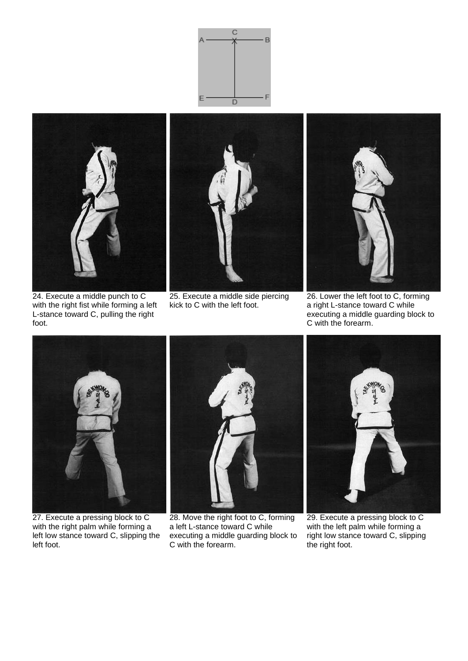



24. Execute a middle punch to C with the right fist while forming a left L-stance toward C, pulling the right foot.



25. Execute a middle side piercing kick to C with the left foot.



26. Lower the left foot to C, forming a right L-stance toward C while executing a middle guarding block to C with the forearm.



27. Execute a pressing block to C with the right palm while forming a left low stance toward C, slipping the left foot.



28. Move the right foot to C, forming a left L-stance toward C while executing a middle guarding block to C with the forearm.



29. Execute a pressing block to C with the left palm while forming a right low stance toward C, slipping the right foot.